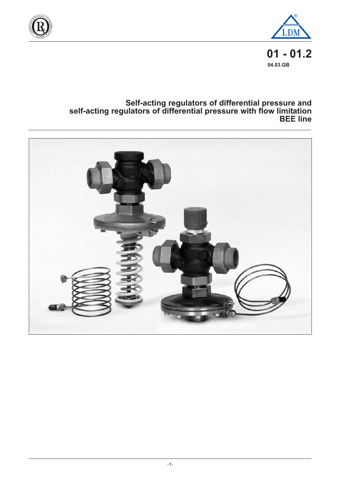



**01 - 01.2 04.03.GB**

# **Self-acting regulators of differential pressure and self-acting regulators of differential pressure with flow limitation BEE line**

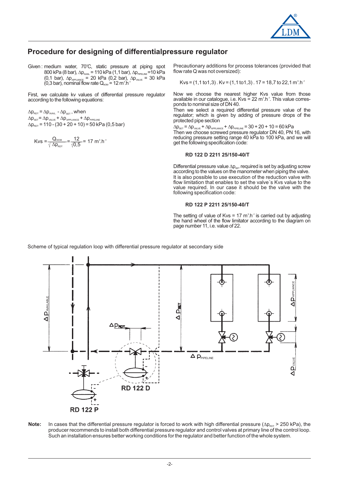

# **Procedure for designing of differentialpressure regulator**

Given : medium water, 70°C, static pressure at piping spot  $800$  kPa (8 bar),  $\Delta p_{\text{AVAL}}$  = 110 kPa (1,1 bar),  $\Delta p_{\text{PPELINE}}$  = 10 kPa  $(0,1)$  bar),  $\Delta p_{\text{APILANCE}} = 20$  kPa  $(0,2)$  bar),  $\Delta p_{\text{WILVE}} = 30$  kPa (0,3 bar), nominal flow rate  $Q_{\text{nom}}$  = 12 m<sup>3</sup>.h

First, we calculate kv values of differential pressure regulator according to the following equations:

 $\Delta p_{\text{rot}} = \Delta p_{\text{avall}} - \Delta p_{\text{set}}$ , when  $\Delta p_{\text{set}} = \Delta p_{\text{VALVE}} + \Delta p_{\text{APPLIANCE}} + \Delta p_{\text{PIPELINE}}$  $\Delta p_{\text{rot}}$  = 110 - (30 + 20 + 10) = 50 kPa (0,5 bar)

Kvs = 
$$
\frac{Q_{\text{nom}}}{\sqrt{\Delta p_{\text{rot}}}} = \frac{12}{\sqrt{0.5}} = 17 \text{ m}^3 \cdot \text{h}^{-1}
$$

Precautionary additions for process tolerances (provided that flow rate Q was not oversized):

Kvs = 
$$
(1, 1 \text{ to } 1, 3)
$$
. Kv =  $(1, 1 \text{ to } 1, 3)$ . 17 = 18,7 to 22,1 m<sup>3</sup>.h<sup>-1</sup>

Now we choose the nearest higher Kvs value from those available in our catalogue, i.e. Kvs = 22  $m^3.h^{-1}$ . This value corresponds to nominal size of DN 40.

Then we select a required differential pressure value of the regulator; which is given by adding of pressure drops of the protected pipe section

 $\Delta p_{\textsc{set}}$  =  $\Delta p_{\textsc{valve}}$  +  $\Delta p_{\textsc{appllANCE}}$  +  $\Delta p_{\textsc{ppllINE}}$  = 30 + 20 + 10 = 60 kPa Then we choose screwed pressure regulator DN 40, PN 16, with reducing pressure setting range 40 kPa to 100 kPa, and we will get the following specification code:

#### **RD 122 D 2211 25/150-40/T**

Differential pressure value  $\Delta p_{\text{set}}$  required is set by adjusting screw according to the values on the manometer when piping the valve. It is also possible to use execution of the reduction valve with flow limitation that enables to set the valve´s Kvs value to the value required. In our case it should be the valve with the following specification code:  $\Delta p_{\text{SET}}$ 

#### **RD 122 P 2211 25/150-40/T**

The setting of value of Kvs = 17  $m^3.h^{-1}$  is carried out by adjusting the hand wheel of the flow limitator according to the diagram on page number 11, i.e. value of 22.

Scheme of typical regulation loop with differential pressure regulator at secondary side



Note: In cases that the differential pressure regulator is forced to work with high differential pressure ( $\Delta p_{\text{ROT}}$  > 250 kPa), the producer recommends to install both differential pressure regulator and control valves at primary line of the control loop. Such an installation ensures better working conditions for the regulator and better function of the whole system.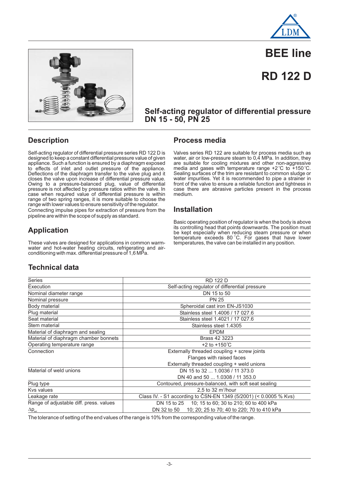



# **BEE line**

# **RD 122 D**

### **Self-acting regulator of differential pressure DN 15 - 50, PN 25**

# **Description**

Self-acting regulator of differential pressure series RD 122 D is designed to keep a constant differential pressure value of given appliance. Such a function is ensured by a diaphragm exposed to effects of inlet and outlet pressure of the appliance. Deflections of the diaphragm transfer to the valve plug and it closes the valve upon increase of differential pressure value. Owing to a pressure-balanced plug, value of differential pressure is not affected by pressure ratios within the valve. In case when required value of differential pressure is within range of two spring ranges, it is more suitable to choose the range with lower values to ensure sensitivity of the regulator. Connecting impulse pipes for extraction of pressure from the pipeline are within the scope of supply as standard.

### **Process media**

Valves series RD 122 are suitable for process media such as water, air or low-pressure steam to  $0,\dot{4}$  MPa. In addition, they are suitable for cooling mixtures and other non-aggressive media and gases with temperature range  $+2^{\circ}$ C to  $+150^{\circ}$ C. Sealing surfaces of the trim are resistant to common sludge or water impurities. Yet it is recommended to pipe a strainer in front of the valve to ensure a reliable function and tightness in case there are abrasive particles present in the process medium.

### **Installation**

Basic operating position of regulator is when the body is above its controlling head that points downwards. The position must be kept especially when reducing steam pressure or when temperature exceeds 80 °C. For gases that have lower temperatures, the valve can be installed in any position.

# **Application**

These valves are designed for applications in common warmwater and hot-water heating circuits, refrigerating and airconditioning with max. differential pressure of 1,6 MPa.

## **Technical data**

| Series                                  | <b>RD 122 D</b>                                                   |
|-----------------------------------------|-------------------------------------------------------------------|
| Execution                               | Self-acting regulator of differential pressure                    |
| Nominal diameter range                  | DN 15 to 50                                                       |
| Nominal pressure                        | <b>PN 25</b>                                                      |
| Body material                           | Spheroidal cast iron EN-JS1030                                    |
| Plug material                           | Stainless steel 1.4006 / 17 027.6                                 |
| Seat material                           | Stainless steel 1.4021 / 17 027.6                                 |
| Stem material                           | Stainless steel 1.4305                                            |
| Material of diaphragm and sealing       | <b>EPDM</b>                                                       |
| Material of diaphragm chamber bonnets   | Brass 42 3223                                                     |
| Operating temperature range             | +2 to +150 $^{\circ}$ C                                           |
| Connection                              | Externally threaded coupling + screw joints                       |
|                                         | Flanges with raised faces                                         |
|                                         | Externally threaded coupling + weld unions                        |
| Material of weld unions                 | DN 15 to 32  1.0036 / 11 373.0                                    |
|                                         | DN 40 and 50  1.0308 / 11 353.0                                   |
| Plug type                               | Contoured, pressure-balanced, with soft seat sealing              |
| <b>Kys values</b>                       | 2.5 to 32 $m^3/h$ our                                             |
| Leakage rate                            | Class IV. - S1 according to ČSN-EN 1349 (5/2001) (< 0.0005 % Kvs) |
| Range of adjustable diff. press. values | DN 15 to 25 10; 15 to 60; 30 to 210; 60 to 400 kPa                |
| $\Delta p_{\text{set}}$                 | DN 32 to 50 10; 20; 25 to 70; 40 to 220; 70 to 410 kPa            |

The tolerance of setting of the end values of the range is 10% from the corresponding value of the range.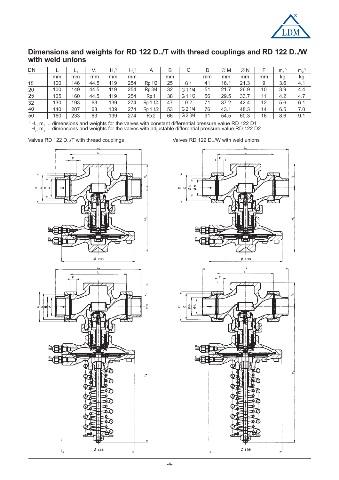

### **Dimensions and weights for RD 122 D../T with thread couplings and RD 122 D../W with weld unions**

| DN |     | н,  | V.   | Η.  | H,  | Α                | В  | С              | D  | $\varnothing$ M | $\varnothing$ N |    | m.  | m <sub>2</sub> |
|----|-----|-----|------|-----|-----|------------------|----|----------------|----|-----------------|-----------------|----|-----|----------------|
|    | mm  | mm  | mm   | mm  | mm  |                  | mm |                | mm | mm              | mm              | mm | kg  | kg             |
| 15 | 100 | 146 | 44.5 | 119 | 254 | 1/2<br>Rp        | 25 | Gʻ             | 41 | 16.             | 21.3            | 9  | 3.6 | 4.1            |
| 20 | 100 | 149 | 44.5 | 119 | 254 | Rp 3/4           | 32 | 1/4<br>G 1     | 51 | 21.7            | 26.9            | 10 | 3.9 | 4.4            |
| 25 | 105 | 160 | 44.5 | 119 | 254 | Rp 1             | 38 | G 1 1/2        | 56 | 29.5            | 33.7            | 11 | 4.2 | 4.7            |
| 32 | 130 | 193 | 63   | 139 | 274 | 1/4<br>Rp        | 47 | G <sub>2</sub> | 71 | 37.2            | 42.4            | 12 | 5.6 | 6.1            |
| 40 | 140 | 207 | 63   | 139 | 274 | 1/2<br><b>Rp</b> | 53 | G 2 1/4        | 76 | 43.1            | 48.3            | 14 | 6.5 | 7.0            |
| 50 | 160 | 233 | 63   | 139 | 274 | Ro 2             | 66 | G 2 3/4        | 91 | 54.5            | 60.3            | 16 | 8.6 | 9.1            |

 $^{\circ}$  H<sub>1</sub>, m<sub>1</sub> ... dimensions and weights for the valves with constant differential pressure value RD 122 D1  $\mathsf{H}_2$ ,  $\mathsf{m}_2$  ... dimensions and weights for the valves with adjustable differential pressure value RD 122 D2 1, 1111

Valves RD 122 D../T with thread couplings values RD 122 D../W with weld unions



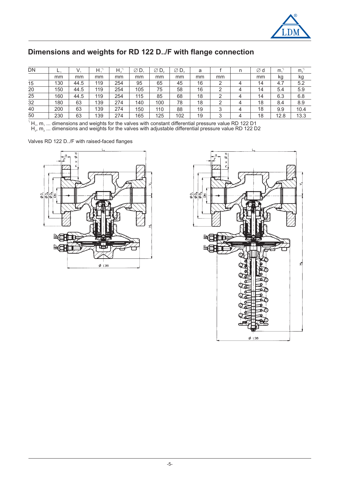

# **Dimensions and weights for RD 122 D../F with flange connection**

| DN |     |      | н   | Н.  | ØD  | Ø<br>D. | $\varnothing$ D, | a  |    | n | ∅d | m.   | m <sub>2</sub> |
|----|-----|------|-----|-----|-----|---------|------------------|----|----|---|----|------|----------------|
|    | mm  | mm   | mm  | mm  | mm  | mm      | mm               | mm | mm |   | mm | kg   | kg             |
| 15 | 130 | 44.5 | 119 | 254 | 95  | 65      | 45               | 16 | っ  | 4 | 14 | 4.7  | 5.2            |
| 20 | 150 | 44.5 | 119 | 254 | 105 | 75      | 58               | 16 | ◠  | 4 | 14 | 5.4  | 5.9            |
| 25 | 160 | 44.5 | 119 | 254 | 115 | 85      | 68               | 18 | ⌒  | 4 | 14 | 6.3  | 6.8            |
| 32 | 180 | 63   | 139 | 274 | 140 | 100     | 78               | 18 | ◠  | 4 | 18 | 8.4  | 8.9            |
| 40 | 200 | 63   | 139 | 274 | 150 | 110     | 88               | 19 | 3  | 4 | 18 | 9.9  | 10.4           |
| 50 | 230 | 63   | 139 | 274 | 165 | 125     | 102              | 19 | 2  | 4 | 18 | 12.8 | 13.3           |

 $^{\circ}$  H<sub>1</sub>, m<sub>1</sub> ... dimensions and weights for the valves with constant differential pressure value RD 122 D1  $H_1$ ,  $H_1$  ... dimensions and weights for the valves with adjustable differential pressure value RD 122 D2  $H_2$ ,  $m_2$ ... dimensions and weights for the valves with adjustable differential pressure value RD 122 D2

Valves RD 122 D../F with raised-faced flanges



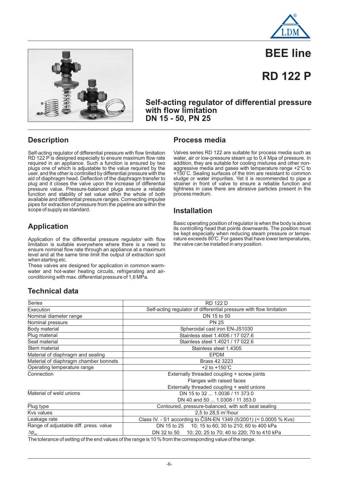



# **BEE line**

# **RD 122 P**

**Self-acting regulator of differential pressure with flow limitation DN 15 - 50, PN 25**

# **Description**

Self-acting regulator of differential pressure with flow limitation RD 122 P is designed especially to ensure maximum flow rate required in an appliance. Such a function is ensured by two plugs one of which is adjustable to the value required by the user, and the other is controlled by differential pressure with the aid of diaphragm head. Deflection of the diaphragm transfer to plug and it closes the valve upon the increase of differential pressure value. Pressure-balanced plugs ensure a reliable function and stability of set value within the whole of both available and differential pressure ranges. Connecting impulse pipes for extraction of pressure from the pipeline are within the scope of supply as standard.

# **Application**

Application of the differential pressure regulator with flow limitation is suitable everywhere where there is a need to ensure nominal flow rate through an appliance at a maximum level and at the same time limit the output of extraction spot when starting etc.

These valves are designed for application in common warmwater and hot-water heating circuits, refrigerating and airconditioning with max. differential pressure of 1,6 MPa.

## **Process media**

Valves series RD 122 are suitable for process media such as water, air or low-pressure steam up to 0,4 Mpa of pressure. In addition, they are suitable for cooling mixtures and other nonaggressive media and gases with temperature range  $+2^{\circ}$ C to +150 C. Sealing surfaces of the trim are resistant to common sludge or water impurities. Yet it is recommended to pipe a strainer in front of valve to ensure a reliable function and tightness in case there are abrasive particles present in the process medium. o

#### **Installation**

Basic operating position of regulator is when the body is above its controlling head that points downwards. The position must be kept especially when reducing steam pressure or temperature exceeds 80°C. For gases that have lower temperatures, the valve can be installed in any position.

# **Technical data**

| <b>Series</b>                          | <b>RD 122 D</b>                                                                                                     |
|----------------------------------------|---------------------------------------------------------------------------------------------------------------------|
| Execution                              | Self-acting regulator of differential pressure with flow limitation                                                 |
| Nominal diameter range                 | DN 15 to 50                                                                                                         |
| Nominal pressure                       | <b>PN 25</b>                                                                                                        |
| Body material                          | Spheroidal cast iron EN-JS1030                                                                                      |
| Plug material                          | Stainless steel 1.4006 / 17 027.6                                                                                   |
| Seat material                          | Stainless steel 1.4021 / 17 022.6                                                                                   |
| Stem material                          | Stainless steel 1.4305                                                                                              |
| Material of diaphragm and sealing      | <b>EPDM</b>                                                                                                         |
| Material of diaphragm chamber bonnets  | Brass 42 3223                                                                                                       |
| Operating temperature range            | +2 to +150 $^{\circ}$ C                                                                                             |
| Connection                             | Externally threaded coupling + screw joints                                                                         |
|                                        | Flanges with raised faces                                                                                           |
|                                        | Externally threaded coupling + weld unions                                                                          |
| Material of weld unions                | DN 15 to 32  1.0036 / 11 373.0                                                                                      |
|                                        | DN 40 and 50  1.0308 / 11 353.0                                                                                     |
| Plug type                              | Contoured, pressure-balanced, with soft seat sealing                                                                |
| <b>Kys values</b>                      | 2,5 to 28,5 $m^3/hour$                                                                                              |
| Leakage rate                           | Class IV. - S1 according to CSN-EN 1349 (5/2001) (< 0.0005 % Kvs)                                                   |
| Range of adjustable diff. press. value | DN 15 to 25 10; 15 to 60; 30 to 210; 60 to 400 kPa                                                                  |
| $\Delta p_{\text{set}}$                | 10; 20; 25 to 70; 40 to 220; 70 to 410 kPa<br>DN 32 to 50                                                           |
|                                        | The following of continues films and collect of the magnetic AOD/ framelles accuracy of discoveries of the magnetic |

The tolerance of setting of the end values of the range is 10 % from the corresponding value of the range.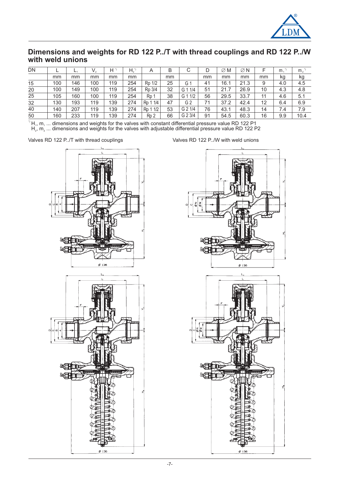

### **Dimensions and weights for RD 122 P../T with thread couplings and RD 122 P../W with weld unions**

| DN |     | ь,  | V,  | Н   | $H_{2}^{n}$ | A                | B  | С              | D  | $\varnothing$ M | $\varnothing$ N |    | m <sub>1</sub> | m <sub>2</sub> |
|----|-----|-----|-----|-----|-------------|------------------|----|----------------|----|-----------------|-----------------|----|----------------|----------------|
|    | mm  | mm  | mm  | mm  | mm          |                  | mm |                | mm | mm              | mm              | mm | kg             | kg             |
| 15 | 100 | 146 | 100 | 119 | 254         | Rp 1/2           | 25 | Gʻ             | 41 | 16.1            | 21.3            | 9  | 4.0            | 4.5            |
| 20 | 100 | 149 | 100 | 119 | 254         | Rp 3/4           | 32 | 1/4<br>G 1     | 51 | 21.7            | 26.9            | 10 | 4.3            | 4.8            |
| 25 | 105 | 160 | 100 | 119 | 254         | Rp               | 38 | 1/2<br>G 1     | 56 | 29.5            | 33.7            |    | 4.6            | 5.1            |
| 32 | 130 | 193 | 119 | 139 | 274         | 1/4<br>Rp        | 47 | G <sub>2</sub> | 71 | 37.2            | 42.4            | 12 | 6.4            | 6.9            |
| 40 | 140 | 207 | 119 | 139 | 274         | 1/2<br>Rp        | 53 | G 2 1/4        | 76 | 43.1            | 48.3            | 14 | 7.4            | 7.9            |
| 50 | 160 | 233 | 119 | 139 | 274         | R <sub>p</sub> 2 | 66 | G 2 3/4        | 91 | 54.5            | 60.3            | 16 | 9.9            | 10.4           |

 $^{\circ}$  H<sub>1</sub>, m<sub>1</sub> ... dimensions and weights for the valves with constant differential pressure value RD 122 P1  $\mathsf{H}_2$ ,  $\mathsf{m}_2$  ... dimensions and weights for the valves with adjustable differential pressure value RD 122 P2 1, 1111





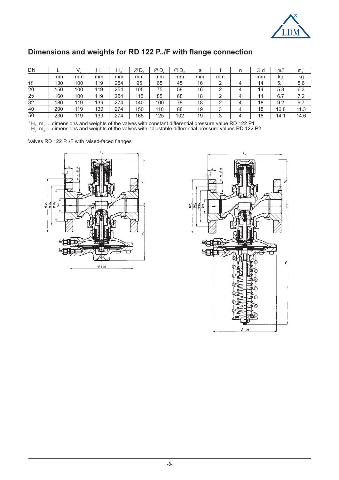

# **Dimensions and weights for RD 122 P../F with flange connection**

| DN | <b>L</b> | V.  | Η.  | $H_{\circ}$ | ØD  | Ø<br>D. | $\varnothing$ D, | a  |        | n | ∅d | m <sub>1</sub> | m <sub>o</sub> |
|----|----------|-----|-----|-------------|-----|---------|------------------|----|--------|---|----|----------------|----------------|
|    | mm       | mm  | mm  | mm          | mm  | mm      | mm               | mm | mm     |   | mm | kg             | kg             |
| 15 | 130      | 100 | 119 | 254         | 95  | 65      | 45               | 16 | っ      | Δ | 14 | 5.1            | 5.6            |
| 20 | 150      | 100 | 119 | 254         | 105 | 75      | 58               | 16 | ◠      | 4 | 14 | 5.8            | 6.3            |
| 25 | 160      | 100 | 119 | 254         | 115 | 85      | 68               | 18 | ◠      | 4 | 14 | 6.7            | 7.2            |
| 32 | 180      | 119 | 139 | 274         | 140 | 100     | 78               | 18 | ◠      | Δ | 18 | 9.2            | 9.7            |
| 40 | 200      | 119 | 139 | 274         | 150 | 110     | 88               | 19 | 2<br>ى | 4 | 18 | 10.8           | 11.3           |
| 50 | 230      | 119 | 139 | 274         | 165 | 125     | 102              | 19 | っ      | Δ | 18 | 14.1           | 14.6           |

 ${}^{7}$ H<sub>1</sub>, m<sub>1</sub> ... dimensions and weights of the valves with constant differential pressure value RD 122 P1  $H_1$ ,  $H_1$  ... dimensions and weights of the valves with constant differential pressure values RD 122 P2  $H_2$ ,  $m_2$ ... dimensions and weights of the valves with adjustable differential pressure values RD 122 P2

Valves RD 122 P../F with raised-faced flanges



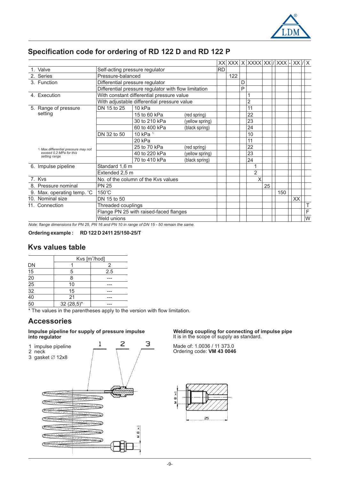

# **Specification code for ordering of RD 122 D and RD 122 P**

|                                                 |                                                                                                                                                                                                                                                                                                                                                                                                                |                                                                                                                                                                                                                                                                                                                                                                                           |  |  |  |  | $ XX $ XXX $ X $ XXXX $ XX $ XXX $ X $ |    |     | $XX$ / $X$ |   |
|-------------------------------------------------|----------------------------------------------------------------------------------------------------------------------------------------------------------------------------------------------------------------------------------------------------------------------------------------------------------------------------------------------------------------------------------------------------------------|-------------------------------------------------------------------------------------------------------------------------------------------------------------------------------------------------------------------------------------------------------------------------------------------------------------------------------------------------------------------------------------------|--|--|--|--|----------------------------------------|----|-----|------------|---|
|                                                 |                                                                                                                                                                                                                                                                                                                                                                                                                |                                                                                                                                                                                                                                                                                                                                                                                           |  |  |  |  |                                        |    |     |            |   |
| 1. Valve                                        |                                                                                                                                                                                                                                                                                                                                                                                                                |                                                                                                                                                                                                                                                                                                                                                                                           |  |  |  |  |                                        |    |     |            |   |
| 2. Series                                       |                                                                                                                                                                                                                                                                                                                                                                                                                |                                                                                                                                                                                                                                                                                                                                                                                           |  |  |  |  |                                        |    |     |            |   |
| 3. Function                                     | D<br>Differential pressure regulator                                                                                                                                                                                                                                                                                                                                                                           |                                                                                                                                                                                                                                                                                                                                                                                           |  |  |  |  |                                        |    |     |            |   |
|                                                 |                                                                                                                                                                                                                                                                                                                                                                                                                | <b>RD</b><br>Self-acting pressure regulator<br>122<br>P<br>1<br>$\overline{2}$<br>11<br>10 kPa<br>22<br>15 to 60 kPa<br>(red spring)<br>23<br>30 to 210 kPa<br>(yellow spring)<br>60 to 400 kPa<br>24<br>(black spring)<br>10 kPa $1$<br>10<br>11<br>20 kPa<br>22<br>25 to 70 kPa<br>(red spring)<br>40 to 220 kPa<br>23<br>(yellow spring)<br>70 to 410 kPa<br>24<br>(black spring)<br>1 |  |  |  |  |                                        |    |     |            |   |
| 4. Execution                                    |                                                                                                                                                                                                                                                                                                                                                                                                                |                                                                                                                                                                                                                                                                                                                                                                                           |  |  |  |  |                                        |    |     |            |   |
|                                                 |                                                                                                                                                                                                                                                                                                                                                                                                                |                                                                                                                                                                                                                                                                                                                                                                                           |  |  |  |  |                                        |    |     |            |   |
| 5. Range of pressure                            | DN 15 to 25                                                                                                                                                                                                                                                                                                                                                                                                    |                                                                                                                                                                                                                                                                                                                                                                                           |  |  |  |  |                                        |    |     |            |   |
| setting                                         |                                                                                                                                                                                                                                                                                                                                                                                                                |                                                                                                                                                                                                                                                                                                                                                                                           |  |  |  |  |                                        |    |     |            |   |
|                                                 |                                                                                                                                                                                                                                                                                                                                                                                                                |                                                                                                                                                                                                                                                                                                                                                                                           |  |  |  |  |                                        |    |     |            |   |
|                                                 |                                                                                                                                                                                                                                                                                                                                                                                                                |                                                                                                                                                                                                                                                                                                                                                                                           |  |  |  |  |                                        |    |     |            |   |
|                                                 | DN 32 to 50                                                                                                                                                                                                                                                                                                                                                                                                    |                                                                                                                                                                                                                                                                                                                                                                                           |  |  |  |  |                                        |    |     |            |   |
|                                                 |                                                                                                                                                                                                                                                                                                                                                                                                                |                                                                                                                                                                                                                                                                                                                                                                                           |  |  |  |  |                                        |    |     |            |   |
| <sup>1)</sup> Max.differential pressure may not |                                                                                                                                                                                                                                                                                                                                                                                                                |                                                                                                                                                                                                                                                                                                                                                                                           |  |  |  |  |                                        |    |     |            |   |
| exceed 0,2 MPa for this                         |                                                                                                                                                                                                                                                                                                                                                                                                                |                                                                                                                                                                                                                                                                                                                                                                                           |  |  |  |  |                                        |    |     |            |   |
| setting range                                   | Pressure-balanced<br>Differential pressure regulator with flow limitation<br>With constant differential pressure value<br>With adjustable differential pressure value<br>Standard 1,6 m<br>$\overline{2}$<br>Extended 2,5 m<br>X<br>No. of the column of the Kys values<br><b>PN 25</b><br>25<br>$150^{\circ}$ C<br>DN 15 to 50<br>Threaded couplings<br>Flange PN 25 with raised-faced flanges<br>Weld unions |                                                                                                                                                                                                                                                                                                                                                                                           |  |  |  |  |                                        |    |     |            |   |
| 6. Impulse pipeline                             |                                                                                                                                                                                                                                                                                                                                                                                                                |                                                                                                                                                                                                                                                                                                                                                                                           |  |  |  |  |                                        |    |     |            |   |
|                                                 |                                                                                                                                                                                                                                                                                                                                                                                                                |                                                                                                                                                                                                                                                                                                                                                                                           |  |  |  |  |                                        |    |     |            |   |
| 7. Kvs                                          |                                                                                                                                                                                                                                                                                                                                                                                                                |                                                                                                                                                                                                                                                                                                                                                                                           |  |  |  |  |                                        |    |     |            |   |
| 8. Pressure nominal                             |                                                                                                                                                                                                                                                                                                                                                                                                                |                                                                                                                                                                                                                                                                                                                                                                                           |  |  |  |  |                                        |    |     |            |   |
| 9. Max. operating temp. °C                      |                                                                                                                                                                                                                                                                                                                                                                                                                |                                                                                                                                                                                                                                                                                                                                                                                           |  |  |  |  |                                        |    | 150 |            |   |
| 10. Nominal size                                |                                                                                                                                                                                                                                                                                                                                                                                                                |                                                                                                                                                                                                                                                                                                                                                                                           |  |  |  |  |                                        | XX |     |            |   |
| 11. Connection                                  |                                                                                                                                                                                                                                                                                                                                                                                                                |                                                                                                                                                                                                                                                                                                                                                                                           |  |  |  |  |                                        |    |     |            | Τ |
|                                                 |                                                                                                                                                                                                                                                                                                                                                                                                                |                                                                                                                                                                                                                                                                                                                                                                                           |  |  |  |  |                                        |    |     |            | F |
|                                                 |                                                                                                                                                                                                                                                                                                                                                                                                                |                                                                                                                                                                                                                                                                                                                                                                                           |  |  |  |  |                                        |    |     |            | W |

*Note: flange dimensions for PN 25, PN 16 and PN 10 in range of DN 15 - 50 remain the same.*

#### **Ordering example : RD 122 D 2411 25/150-25/T**

### **Kvs values table**

|                                                 |              | Kvs [m <sup>3</sup> /hod] |
|-------------------------------------------------|--------------|---------------------------|
| DN                                              |              | $\mathcal{P}$             |
| $\overline{15}$                                 | 5            | 2.5                       |
|                                                 | 8            | ---                       |
|                                                 | 10           | ---                       |
|                                                 | 15           | ---                       |
| $\frac{20}{25}$ $\frac{25}{32}$ $\frac{40}{50}$ | 21           | ---                       |
|                                                 | $32(28,5)^*$ |                           |

\* The values in the parentheses apply to the version with flow limitation.

### **Accessories**

#### **Impulse pipeline for supply of pressure impulse into regulator**



#### **Welding coupling for connecting of impulse pipe** It is in the scope of supply as standard.

Made of: 1.0036 / 11 373.0 Ordering code: **VM 43 0046**

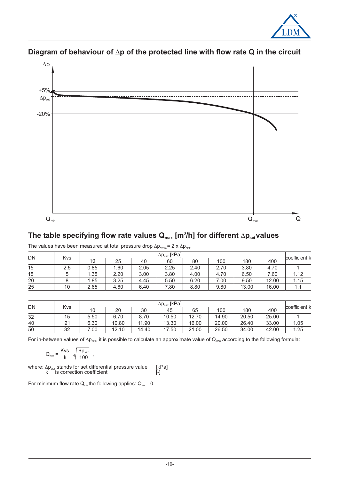



# Diagram of behaviour of  $\Delta p$  of the protected line with flow rate Q in the circuit

# The table specifying flow rate values  $\mathbf{Q}_{\text{max}}$  [m $^3$ /h] for different  $\Delta \mathbf{p}_{\text{set}}$ values

| The values have been measured at total pressure drop $\Delta p_{\text{avall}}$ = 2 x $\Delta p_{\text{ser}}$ . |  |  |  |
|----------------------------------------------------------------------------------------------------------------|--|--|--|
|----------------------------------------------------------------------------------------------------------------|--|--|--|

|    |     |      | $\Delta p_{\text{set}}$ [kPa] |      |      |      |      |       |       |                            |  |  |  |
|----|-----|------|-------------------------------|------|------|------|------|-------|-------|----------------------------|--|--|--|
| DN | Kvs | 10   | 25                            | 40   | 60   | 80   | 100  | 180   | 400   | <sup>⊦</sup> coefficient k |  |  |  |
| 15 | 2.5 | 0.85 | 1.60                          | 2.05 | 2.25 | 2.40 | 2.70 | 3.80  | 4.70  |                            |  |  |  |
| 15 | 5   | 1.35 | 2.20                          | 3.00 | 3.80 | 4.00 | 4.70 | 6.50  | 7.60  | 1.12                       |  |  |  |
| 20 |     | 1.85 | 3.25                          | 4.45 | 5.50 | 6.20 | 7.00 | 9.50  | 12.00 | 1.15                       |  |  |  |
| 25 | 10  | 2.65 | 4.60                          | 6.40 | .80  | 8.80 | 9.80 | 13.00 | 16.00 | 1.1                        |  |  |  |

| <b>DN</b> | Kvs | $\Delta p_{\text{set}}$ [kPa] |       |       |           |       |       |       |       |               |  |
|-----------|-----|-------------------------------|-------|-------|-----------|-------|-------|-------|-------|---------------|--|
|           |     | 10                            | 20    | 30    | 45        | 65    | 100   | 180   | 400   | coefficient k |  |
| 32        | 15  | 5.50                          | 6.70  | 8.70  | 10.50     | 12.70 | 14.90 | 20.50 | 25.00 |               |  |
| 40        | 21  | 6.30                          | 10.80 | 11.90 | 13.30     | 16.00 | 20.00 | 26.40 | 33.00 | 1.05          |  |
| 50        | 32  | 00.                           | 12.10 | 14.40 | .50<br>17 | 21.00 | 26.50 | 34.00 | 42.00 | 1.25          |  |

For in-between values of  $\Delta p_{\text{SET}}$ , it is possible to calculate an approximate value of  $Q_{\text{max}}$  according to the following formula:

$$
Q_{\text{max}} = \frac{Kvs}{k} \cdot \sqrt{\frac{\Delta p_{\text{set}}}{100}} ,
$$

where:  $\Delta p_{\text{SET}}$  stands for set differential pressure value [kPa] k is correction coefficient [-]

For minimum flow rate  $Q_{\text{min}}$  the following applies:  $Q_{\text{min}} = 0$ .